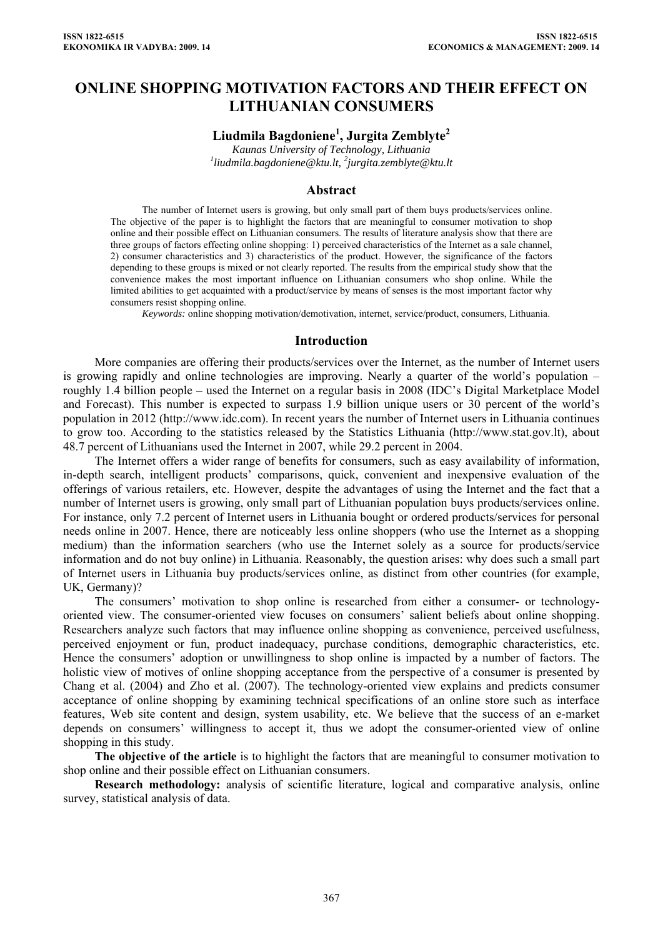# **ONLINE SHOPPING MOTIVATION FACTORS AND THEIR EFFECT ON LITHUANIAN CONSUMERS**

# **Liudmila Bagdoniene<sup>1</sup> , Jurgita Zemblyte2**

*Kaunas University of Technology, Lithuania 1 liudmila.bagdoniene@ktu.lt, 2 jurgita.zemblyte@ktu.lt* 

#### **Abstract**

The number of Internet users is growing, but only small part of them buys products/services online. The objective of the paper is to highlight the factors that are meaningful to consumer motivation to shop online and their possible effect on Lithuanian consumers. The results of literature analysis show that there are three groups of factors effecting online shopping: 1) perceived characteristics of the Internet as a sale channel, 2) consumer characteristics and 3) characteristics of the product. However, the significance of the factors depending to these groups is mixed or not clearly reported. The results from the empirical study show that the convenience makes the most important influence on Lithuanian consumers who shop online. While the limited abilities to get acquainted with a product/service by means of senses is the most important factor why consumers resist shopping online.

*Keywords:* online shopping motivation/demotivation, internet, service/product, consumers, Lithuania.

#### **Introduction**

More companies are offering their products/services over the Internet, as the number of Internet users is growing rapidly and online technologies are improving. Nearly a quarter of the world's population – roughly 1.4 billion people – used the Internet on a regular basis in 2008 (IDC's Digital Marketplace Model and Forecast). This number is expected to surpass 1.9 billion unique users or 30 percent of the world's population in 2012 ([http://www.idc.com\)](http://www.idc.com/). In recent years the number of Internet users in Lithuania continues to grow too. According to the statistics released by the Statistics Lithuania [\(http://www.stat.gov.lt\)](http://www.stat.gov.lt/), about 48.7 percent of Lithuanians used the Internet in 2007, while 29.2 percent in 2004.

The Internet offers a wider range of benefits for consumers, such as easy availability of information, in-depth search, intelligent products' comparisons, quick, convenient and inexpensive evaluation of the offerings of various retailers, etc. However, despite the advantages of using the Internet and the fact that a number of Internet users is growing, only small part of Lithuanian population buys products/services online. For instance, only 7.2 percent of Internet users in Lithuania bought or ordered products/services for personal needs online in 2007. Hence, there are noticeably less online shoppers (who use the Internet as a shopping medium) than the information searchers (who use the Internet solely as a source for products/service information and do not buy online) in Lithuania. Reasonably, the question arises: why does such a small part of Internet users in Lithuania buy products/services online, as distinct from other countries (for example, UK, Germany)?

The consumers' motivation to shop online is researched from either a consumer- or technologyoriented view. The consumer-oriented view focuses on consumers' salient beliefs about online shopping. Researchers analyze such factors that may influence online shopping as convenience, perceived usefulness, perceived enjoyment or fun, product inadequacy, purchase conditions, demographic characteristics, etc. Hence the consumers' adoption or unwillingness to shop online is impacted by a number of factors. The holistic view of motives of online shopping acceptance from the perspective of a consumer is presented by Chang et al. (2004) and Zho et al. (2007). The technology-oriented view explains and predicts consumer acceptance of online shopping by examining technical specifications of an online store such as interface features, Web site content and design, system usability, etc. We believe that the success of an e-market depends on consumers' willingness to accept it, thus we adopt the consumer-oriented view of online shopping in this study.

**The objective of the article** is to highlight the factors that are meaningful to consumer motivation to shop online and their possible effect on Lithuanian consumers.

**Research methodology:** analysis of scientific literature, logical and comparative analysis, online survey, statistical analysis of data.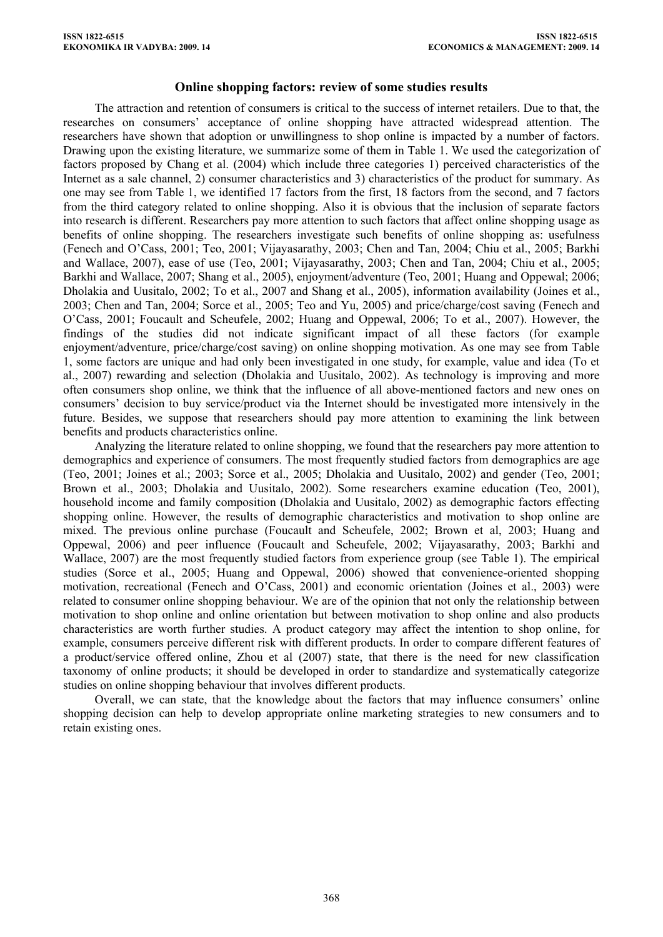# **Online shopping factors: review of some studies results**

The attraction and retention of consumers is critical to the success of internet retailers. Due to that, the researches on consumers' acceptance of online shopping have attracted widespread attention. The researchers have shown that adoption or unwillingness to shop online is impacted by a number of factors. Drawing upon the existing literature, we summarize some of them in Table 1. We used the categorization of factors proposed by Chang et al. (2004) which include three categories 1) perceived characteristics of the Internet as a sale channel, 2) consumer characteristics and 3) characteristics of the product for summary. As one may see from Table 1, we identified 17 factors from the first, 18 factors from the second, and 7 factors from the third category related to online shopping. Also it is obvious that the inclusion of separate factors into research is different. Researchers pay more attention to such factors that affect online shopping usage as benefits of online shopping. The researchers investigate such benefits of online shopping as: usefulness (Fenech and O'Cass, 2001; Teo, 2001; Vijayasarathy, 2003; Chen and Tan, 2004; Chiu et al., 2005; Barkhi and Wallace, 2007), ease of use (Teo, 2001; Vijayasarathy, 2003; Chen and Tan, 2004; Chiu et al., 2005; Barkhi and Wallace, 2007; Shang et al., 2005), enjoyment/adventure (Teo, 2001; Huang and Oppewal; 2006; Dholakia and Uusitalo, 2002; To et al., 2007 and Shang et al., 2005), information availability (Joines et al., 2003; Chen and Tan, 2004; Sorce et al., 2005; Teo and Yu, 2005) and price/charge/cost saving (Fenech and O'Cass, 2001; Foucault and Scheufele, 2002; Huang and Oppewal, 2006; To et al., 2007). However, the findings of the studies did not indicate significant impact of all these factors (for example enjoyment/adventure, price/charge/cost saving) on online shopping motivation. As one may see from Table 1, some factors are unique and had only been investigated in one study, for example, value and idea (To et al., 2007) rewarding and selection (Dholakia and Uusitalo, 2002). As technology is improving and more often consumers shop online, we think that the influence of all above-mentioned factors and new ones on consumers' decision to buy service/product via the Internet should be investigated more intensively in the future. Besides, we suppose that researchers should pay more attention to examining the link between benefits and products characteristics online.

Analyzing the literature related to online shopping, we found that the researchers pay more attention to demographics and experience of consumers. The most frequently studied factors from demographics are age (Teo, 2001; Joines et al.; 2003; Sorce et al., 2005; Dholakia and Uusitalo, 2002) and gender (Teo, 2001; Brown et al., 2003; Dholakia and Uusitalo, 2002). Some researchers examine education (Teo, 2001), household income and family composition (Dholakia and Uusitalo, 2002) as demographic factors effecting shopping online. However, the results of demographic characteristics and motivation to shop online are mixed. The previous online purchase (Foucault and Scheufele, 2002; Brown et al, 2003; Huang and Oppewal, 2006) and peer influence (Foucault and Scheufele, 2002; Vijayasarathy, 2003; Barkhi and Wallace, 2007) are the most frequently studied factors from experience group (see Table 1). The empirical studies (Sorce et al., 2005; Huang and Oppewal, 2006) showed that convenience-oriented shopping motivation, recreational (Fenech and O'Cass, 2001) and economic orientation (Joines et al., 2003) were related to consumer online shopping behaviour. We are of the opinion that not only the relationship between motivation to shop online and online orientation but between motivation to shop online and also products characteristics are worth further studies. A product category may affect the intention to shop online, for example, consumers perceive different risk with different products. In order to compare different features of a product/service offered online, Zhou et al (2007) state, that there is the need for new classification taxonomy of online products; it should be developed in order to standardize and systematically categorize studies on online shopping behaviour that involves different products.

Overall, we can state, that the knowledge about the factors that may influence consumers' online shopping decision can help to develop appropriate online marketing strategies to new consumers and to retain existing ones.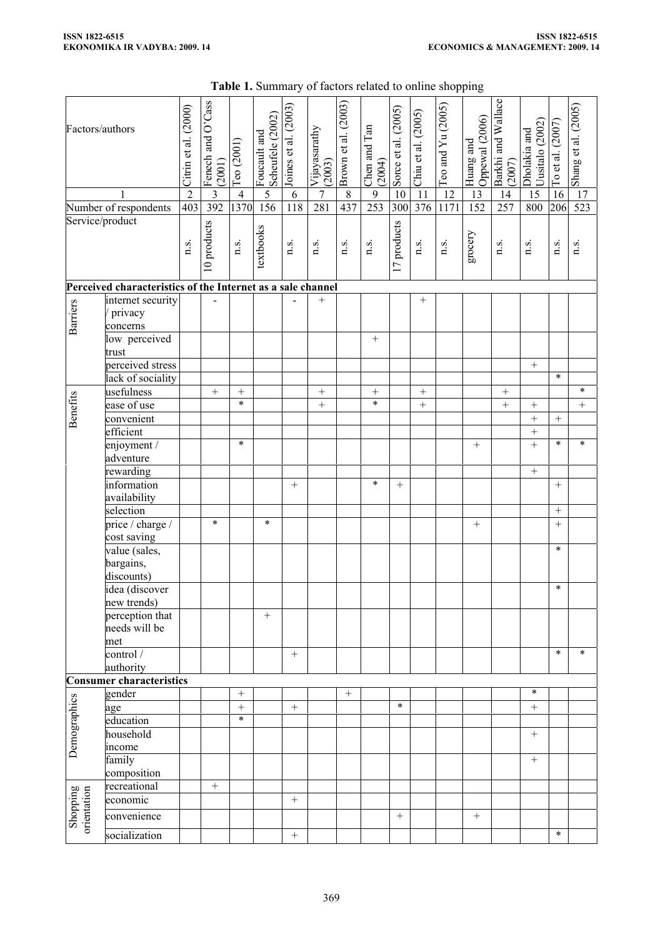# **Table 1.** Summary of factors related to online shopping

| Factors/authors         |                                                             | Citrin et al. (2000) | Fenech and O'Cass<br>(2001) | Teo (2001)     | Scheufele (2002)<br>Foucault and | Joines et al. (2003) | Vijayasarathy<br>(2003) | Brown et al. (2003) | Chen and Tan<br>(2004) | Sorce et al. (2005) | Chiu et al. (2005) | Teo and Yu (2005) | Oppewal (2006)<br>Huang and | Barkhi and Wallace<br>(2007) | Uusitalo (2002)<br>Dholakia and | To et al. $(2007)$ | $\frac{1}{2}$ Shang et al. (2005) |
|-------------------------|-------------------------------------------------------------|----------------------|-----------------------------|----------------|----------------------------------|----------------------|-------------------------|---------------------|------------------------|---------------------|--------------------|-------------------|-----------------------------|------------------------------|---------------------------------|--------------------|-----------------------------------|
|                         |                                                             | $\overline{2}$       | $\overline{\mathbf{3}}$     | $\overline{4}$ | $\frac{5}{5}$                    | 6                    | $\overline{7}$          | $8\,$               | $\overline{9}$         | $10\,$              | $\overline{11}$    | $\overline{12}$   | 13                          | 14                           | 15                              | 16                 |                                   |
|                         | Number of respondents                                       | 403                  | 392                         | 1370           |                                  | 118                  | 281                     | 437                 | 253                    | 300                 | 376                | 1171              | 152                         | 257                          | 800                             | 206                | 523                               |
|                         |                                                             |                      |                             |                |                                  |                      |                         |                     |                        |                     |                    |                   |                             |                              |                                 |                    |                                   |
| Service/product         |                                                             | n.s.                 | 10 products                 | n.s.           | textbooks                        | n.s.                 | n.s.                    | n.s.                | n.s.                   | 17 products         | n.s.               | n.s.              | grocery                     | n.s.                         | n.s.                            | n.s.               | n.s.                              |
|                         | Perceived characteristics of the Internet as a sale channel |                      |                             |                |                                  |                      |                         |                     |                        |                     |                    |                   |                             |                              |                                 |                    |                                   |
|                         | internet security                                           |                      |                             |                |                                  |                      | $^+$                    |                     |                        |                     | $\! + \!\!\!\!$    |                   |                             |                              |                                 |                    |                                   |
| <b>Barriers</b>         | privacy<br>concerns                                         |                      |                             |                |                                  |                      |                         |                     |                        |                     |                    |                   |                             |                              |                                 |                    |                                   |
|                         | low perceived                                               |                      |                             |                |                                  |                      |                         |                     | $^{+}$                 |                     |                    |                   |                             |                              |                                 |                    |                                   |
|                         | trust                                                       |                      |                             |                |                                  |                      |                         |                     |                        |                     |                    |                   |                             |                              |                                 |                    |                                   |
|                         | perceived stress                                            |                      |                             |                |                                  |                      |                         |                     |                        |                     |                    |                   |                             |                              | $+$                             |                    |                                   |
|                         | lack of sociality                                           |                      |                             |                |                                  |                      |                         |                     |                        |                     |                    |                   |                             |                              |                                 | $\ast$             |                                   |
|                         | usefulness                                                  |                      | $+$                         | $^{+}$         |                                  |                      | $+$                     |                     | $+$                    |                     | $+$                |                   |                             |                              |                                 |                    | $\ast$                            |
|                         | ease of use                                                 |                      |                             | $\ast$         |                                  |                      | $\ddot{}$               |                     | $\ast$                 |                     | $+$                |                   |                             | $\ddot{}$                    | $+$                             |                    | $^{+}$                            |
| Benefits                | convenient                                                  |                      |                             |                |                                  |                      |                         |                     |                        |                     |                    |                   |                             |                              | $\ddot{}$                       | $+$                |                                   |
|                         | efficient                                                   |                      |                             |                |                                  |                      |                         |                     |                        |                     |                    |                   |                             |                              | $\ddot{}$                       |                    |                                   |
|                         | enjoyment /                                                 |                      |                             | $\ast$         |                                  |                      |                         |                     |                        |                     |                    |                   | $+$                         |                              | $\ddot{}$                       | $\ast$             | $\ast$                            |
|                         | adventure                                                   |                      |                             |                |                                  |                      |                         |                     |                        |                     |                    |                   |                             |                              |                                 |                    |                                   |
|                         | rewarding                                                   |                      |                             |                |                                  |                      |                         |                     |                        |                     |                    |                   |                             |                              | $+$                             |                    |                                   |
|                         | information                                                 |                      |                             |                |                                  | $^{+}$               |                         |                     | $\ast$                 | $+$                 |                    |                   |                             |                              |                                 | $+$                |                                   |
|                         | availability                                                |                      |                             |                |                                  |                      |                         |                     |                        |                     |                    |                   |                             |                              |                                 |                    |                                   |
|                         | selection                                                   |                      |                             |                |                                  |                      |                         |                     |                        |                     |                    |                   |                             |                              |                                 | $\! + \!\!\!\!$    |                                   |
|                         | price / charge /                                            |                      | $\ast$                      |                | $\ast$                           |                      |                         |                     |                        |                     |                    |                   | $+$                         |                              |                                 | $+$                |                                   |
|                         | cost saving                                                 |                      |                             |                |                                  |                      |                         |                     |                        |                     |                    |                   |                             |                              |                                 |                    |                                   |
|                         | value (sales,                                               |                      |                             |                |                                  |                      |                         |                     |                        |                     |                    |                   |                             |                              |                                 | $\ast$             |                                   |
|                         | bargains,                                                   |                      |                             |                |                                  |                      |                         |                     |                        |                     |                    |                   |                             |                              |                                 |                    |                                   |
|                         | discounts)                                                  |                      |                             |                |                                  |                      |                         |                     |                        |                     |                    |                   |                             |                              |                                 |                    |                                   |
|                         | idea (discover                                              |                      |                             |                |                                  |                      |                         |                     |                        |                     |                    |                   |                             |                              |                                 | $\star$            |                                   |
|                         | new trends)                                                 |                      |                             |                |                                  |                      |                         |                     |                        |                     |                    |                   |                             |                              |                                 |                    |                                   |
|                         | perception that                                             |                      |                             |                | $+$                              |                      |                         |                     |                        |                     |                    |                   |                             |                              |                                 |                    |                                   |
|                         | needs will be                                               |                      |                             |                |                                  |                      |                         |                     |                        |                     |                    |                   |                             |                              |                                 |                    |                                   |
|                         | met                                                         |                      |                             |                |                                  |                      |                         |                     |                        |                     |                    |                   |                             |                              |                                 |                    |                                   |
|                         | control /                                                   |                      |                             |                |                                  | $\! + \!\!\!\!$      |                         |                     |                        |                     |                    |                   |                             |                              |                                 | $\ast$             | $\ast$                            |
|                         | authority                                                   |                      |                             |                |                                  |                      |                         |                     |                        |                     |                    |                   |                             |                              |                                 |                    |                                   |
|                         | <b>Consumer characteristics</b>                             |                      |                             |                |                                  |                      |                         |                     |                        |                     |                    |                   |                             |                              |                                 |                    |                                   |
|                         | gender                                                      |                      |                             | $^{+}$         |                                  |                      |                         | $^{+}$              |                        |                     |                    |                   |                             |                              | $\ast$                          |                    |                                   |
| Demographics            | age                                                         |                      |                             | $\ddot{}$      |                                  | $^{+}$               |                         |                     |                        | $\ast$              |                    |                   |                             |                              | $\qquad \qquad +$               |                    |                                   |
|                         | education                                                   |                      |                             | $\star$        |                                  |                      |                         |                     |                        |                     |                    |                   |                             |                              |                                 |                    |                                   |
|                         | household                                                   |                      |                             |                |                                  |                      |                         |                     |                        |                     |                    |                   |                             |                              | $+$                             |                    |                                   |
|                         | income                                                      |                      |                             |                |                                  |                      |                         |                     |                        |                     |                    |                   |                             |                              |                                 |                    |                                   |
|                         | family                                                      |                      |                             |                |                                  |                      |                         |                     |                        |                     |                    |                   |                             |                              | $+$                             |                    |                                   |
|                         | composition                                                 |                      |                             |                |                                  |                      |                         |                     |                        |                     |                    |                   |                             |                              |                                 |                    |                                   |
|                         | recreational                                                |                      | $+$                         |                |                                  |                      |                         |                     |                        |                     |                    |                   |                             |                              |                                 |                    |                                   |
|                         | economic                                                    |                      |                             |                |                                  | $^{+}$               |                         |                     |                        |                     |                    |                   |                             |                              |                                 |                    |                                   |
|                         |                                                             |                      |                             |                |                                  |                      |                         |                     |                        |                     |                    |                   |                             |                              |                                 |                    |                                   |
| Shopping<br>orientation | convenience                                                 |                      |                             |                |                                  |                      |                         |                     |                        | $+$                 |                    |                   | $\boldsymbol{+}$            |                              |                                 |                    |                                   |
|                         | socialization                                               |                      |                             |                |                                  | $\! + \!$            |                         |                     |                        |                     |                    |                   |                             |                              |                                 | $\ast$             |                                   |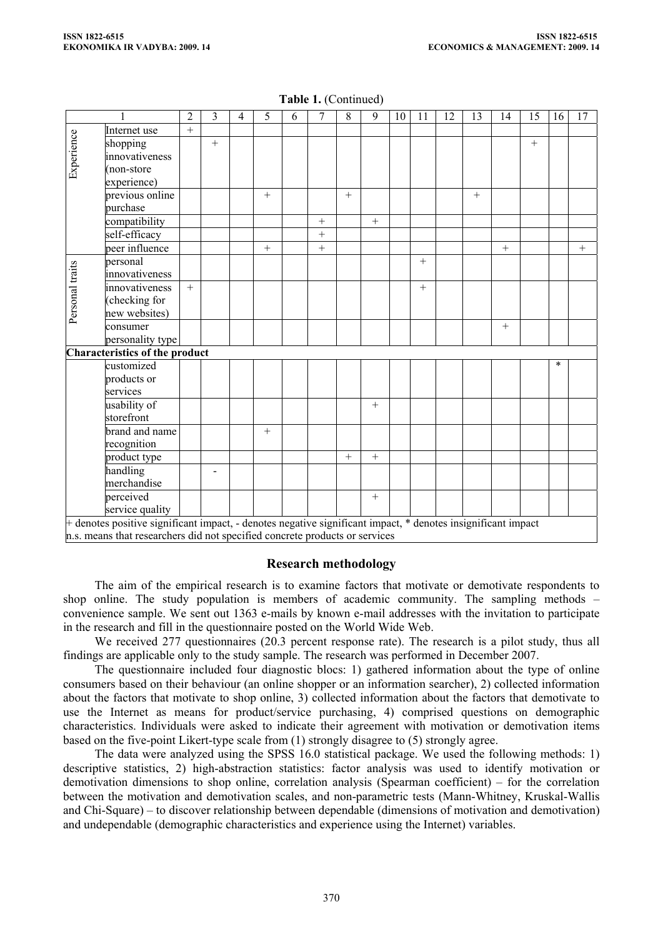|                                                                             | 1                                                                                                            | $\overline{2}$ | 3      | 4 | 5      | 6 | $\overline{7}$ | 8   | 9      | 10 | 11  | 12 | 13  | 14  | 15     | 16      | 17  |
|-----------------------------------------------------------------------------|--------------------------------------------------------------------------------------------------------------|----------------|--------|---|--------|---|----------------|-----|--------|----|-----|----|-----|-----|--------|---------|-----|
|                                                                             | Internet use                                                                                                 | $+$            |        |   |        |   |                |     |        |    |     |    |     |     |        |         |     |
| Experience                                                                  | shopping<br>innovativeness                                                                                   |                | $^{+}$ |   |        |   |                |     |        |    |     |    |     |     | $^{+}$ |         |     |
|                                                                             | (non-store                                                                                                   |                |        |   |        |   |                |     |        |    |     |    |     |     |        |         |     |
|                                                                             | experience)                                                                                                  |                |        |   |        |   |                |     |        |    |     |    |     |     |        |         |     |
|                                                                             | previous online                                                                                              |                |        |   | $+$    |   |                | $+$ |        |    |     |    | $+$ |     |        |         |     |
|                                                                             | purchase                                                                                                     |                |        |   |        |   |                |     |        |    |     |    |     |     |        |         |     |
|                                                                             | compatibility                                                                                                |                |        |   |        |   | $+$            |     | $+$    |    |     |    |     |     |        |         |     |
|                                                                             | self-efficacy                                                                                                |                |        |   |        |   | $^{+}$         |     |        |    |     |    |     |     |        |         |     |
|                                                                             | peer influence                                                                                               |                |        |   | $^{+}$ |   | $+$            |     |        |    |     |    |     | $+$ |        |         | $+$ |
| Personal traits                                                             | personal<br>innovativeness                                                                                   |                |        |   |        |   |                |     |        |    | $+$ |    |     |     |        |         |     |
|                                                                             | innovativeness                                                                                               | $+$            |        |   |        |   |                |     |        |    | $+$ |    |     |     |        |         |     |
|                                                                             | (checking for                                                                                                |                |        |   |        |   |                |     |        |    |     |    |     |     |        |         |     |
|                                                                             | new websites)                                                                                                |                |        |   |        |   |                |     |        |    |     |    |     |     |        |         |     |
|                                                                             | consumer                                                                                                     |                |        |   |        |   |                |     |        |    |     |    |     | $+$ |        |         |     |
|                                                                             | personality type                                                                                             |                |        |   |        |   |                |     |        |    |     |    |     |     |        |         |     |
|                                                                             | Characteristics of the product                                                                               |                |        |   |        |   |                |     |        |    |     |    |     |     |        |         |     |
|                                                                             | customized                                                                                                   |                |        |   |        |   |                |     |        |    |     |    |     |     |        | $\star$ |     |
|                                                                             | products or                                                                                                  |                |        |   |        |   |                |     |        |    |     |    |     |     |        |         |     |
|                                                                             | services                                                                                                     |                |        |   |        |   |                |     |        |    |     |    |     |     |        |         |     |
|                                                                             | usability of                                                                                                 |                |        |   |        |   |                |     | $+$    |    |     |    |     |     |        |         |     |
|                                                                             | storefront                                                                                                   |                |        |   |        |   |                |     |        |    |     |    |     |     |        |         |     |
|                                                                             | brand and name                                                                                               |                |        |   | $+$    |   |                |     |        |    |     |    |     |     |        |         |     |
|                                                                             | recognition                                                                                                  |                |        |   |        |   |                |     |        |    |     |    |     |     |        |         |     |
|                                                                             | product type                                                                                                 |                |        |   |        |   |                | $+$ | $+$    |    |     |    |     |     |        |         |     |
|                                                                             | handling                                                                                                     |                |        |   |        |   |                |     |        |    |     |    |     |     |        |         |     |
|                                                                             | merchandise                                                                                                  |                |        |   |        |   |                |     |        |    |     |    |     |     |        |         |     |
|                                                                             | perceived                                                                                                    |                |        |   |        |   |                |     | $^{+}$ |    |     |    |     |     |        |         |     |
|                                                                             | service quality                                                                                              |                |        |   |        |   |                |     |        |    |     |    |     |     |        |         |     |
|                                                                             | + denotes positive significant impact, - denotes negative significant impact, * denotes insignificant impact |                |        |   |        |   |                |     |        |    |     |    |     |     |        |         |     |
| n.s. means that researchers did not specified concrete products or services |                                                                                                              |                |        |   |        |   |                |     |        |    |     |    |     |     |        |         |     |

#### **Table 1.** (Continued)

## **Research methodology**

The aim of the empirical research is to examine factors that motivate or demotivate respondents to shop online. The study population is members of academic community. The sampling methods – convenience sample. We sent out 1363 e-mails by known e-mail addresses with the invitation to participate in the research and fill in the questionnaire posted on the World Wide Web.

We received 277 questionnaires (20.3 percent response rate). The research is a pilot study, thus all findings are applicable only to the study sample. The research was performed in December 2007.

The questionnaire included four diagnostic blocs: 1) gathered information about the type of online consumers based on their behaviour (an online shopper or an information searcher), 2) collected information about the factors that motivate to shop online, 3) collected information about the factors that demotivate to use the Internet as means for product/service purchasing, 4) comprised questions on demographic characteristics. Individuals were asked to indicate their agreement with motivation or demotivation items based on the five-point Likert-type scale from (1) strongly disagree to (5) strongly agree.

The data were analyzed using the SPSS 16.0 statistical package. We used the following methods: 1) descriptive statistics, 2) high-abstraction statistics: factor analysis was used to identify motivation or demotivation dimensions to shop online, correlation analysis (Spearman coefficient) – for the correlation between the motivation and demotivation scales, and non-parametric tests (Mann-Whitney, Kruskal-Wallis and Chi-Square) – to discover relationship between dependable (dimensions of motivation and demotivation) and undependable (demographic characteristics and experience using the Internet) variables.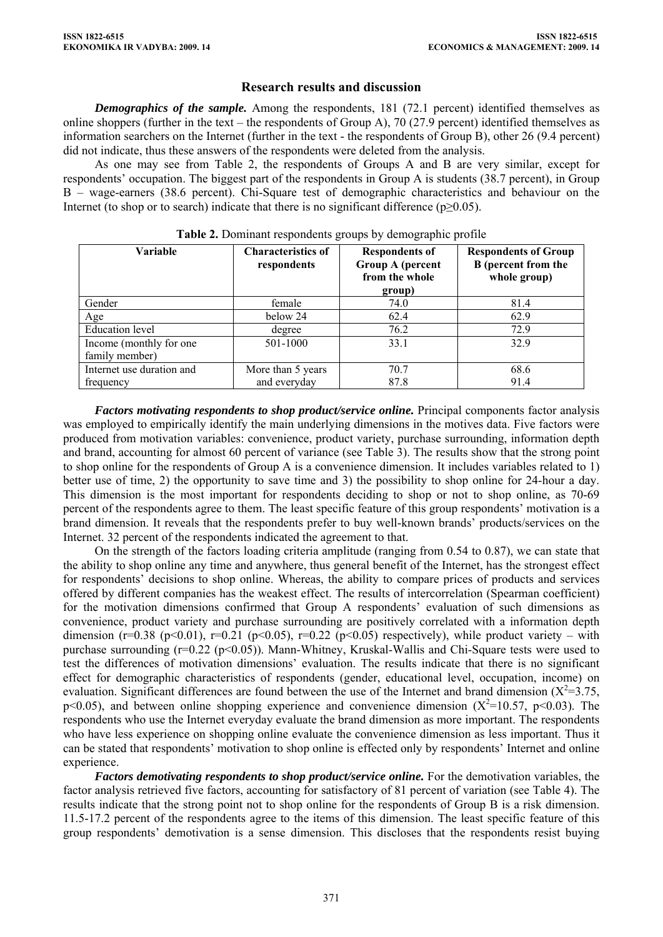# **Research results and discussion**

**Demographics of the sample.** Among the respondents, 181 (72.1 percent) identified themselves as online shoppers (further in the text – the respondents of Group A), 70 (27.9 percent) identified themselves as information searchers on the Internet (further in the text - the respondents of Group B), other 26 (9.4 percent) did not indicate, thus these answers of the respondents were deleted from the analysis.

As one may see from Table 2, the respondents of Groups A and B are very similar, except for respondents' occupation. The biggest part of the respondents in Group A is students (38.7 percent), in Group B – wage-earners (38.6 percent). Chi-Square test of demographic characteristics and behaviour on the Internet (to shop or to search) indicate that there is no significant difference ( $p\geq 0.05$ ).

| Variable                                  | <b>Characteristics of</b><br>respondents | <b>Respondents of</b><br><b>Group A</b> (percent<br>from the whole | <b>Respondents of Group</b><br><b>B</b> (percent from the<br>whole group) |  |  |
|-------------------------------------------|------------------------------------------|--------------------------------------------------------------------|---------------------------------------------------------------------------|--|--|
| Gender                                    | female                                   | group)<br>74.0                                                     | 81.4                                                                      |  |  |
| Age                                       | below 24                                 | 62.4                                                               | 62.9                                                                      |  |  |
| <b>Education</b> level                    | degree                                   | 76.2                                                               | 72.9                                                                      |  |  |
| Income (monthly for one<br>family member) | 501-1000                                 | 33.1                                                               | 32.9                                                                      |  |  |
| Internet use duration and                 | More than 5 years                        | 70.7                                                               | 68.6                                                                      |  |  |
| frequency                                 | and everyday                             | 87.8                                                               | 91.4                                                                      |  |  |

**Table 2.** Dominant respondents groups by demographic profile

*Factors motivating respondents to shop product/service online.* Principal components factor analysis was employed to empirically identify the main underlying dimensions in the motives data. Five factors were produced from motivation variables: convenience, product variety, purchase surrounding, information depth and brand, accounting for almost 60 percent of variance (see Table 3). The results show that the strong point to shop online for the respondents of Group A is a convenience dimension. It includes variables related to 1) better use of time, 2) the opportunity to save time and 3) the possibility to shop online for 24-hour a day. This dimension is the most important for respondents deciding to shop or not to shop online, as 70-69 percent of the respondents agree to them. The least specific feature of this group respondents' motivation is a brand dimension. It reveals that the respondents prefer to buy well-known brands' products/services on the Internet. 32 percent of the respondents indicated the agreement to that.

On the strength of the factors loading criteria amplitude (ranging from 0.54 to 0.87), we can state that the ability to shop online any time and anywhere, thus general benefit of the Internet, has the strongest effect for respondents' decisions to shop online. Whereas, the ability to compare prices of products and services offered by different companies has the weakest effect. The results of intercorrelation (Spearman coefficient) for the motivation dimensions confirmed that Group A respondents' evaluation of such dimensions as convenience, product variety and purchase surrounding are positively correlated with a information depth dimension (r=0.38 (p<0.01), r=0.21 (p<0.05), r=0.22 (p<0.05) respectively), while product variety – with purchase surrounding  $(r=0.22 \text{ (p} < 0.05))$ . Mann-Whitney, Kruskal-Wallis and Chi-Square tests were used to test the differences of motivation dimensions' evaluation. The results indicate that there is no significant effect for demographic characteristics of respondents (gender, educational level, occupation, income) on evaluation. Significant differences are found between the use of the Internet and brand dimension  $(X^2=3.75,$ p<0.05), and between online shopping experience and convenience dimension  $(X^2=10.57, p<0.03)$ . The respondents who use the Internet everyday evaluate the brand dimension as more important. The respondents who have less experience on shopping online evaluate the convenience dimension as less important. Thus it can be stated that respondents' motivation to shop online is effected only by respondents' Internet and online experience

*Factors demotivating respondents to shop product/service online.* For the demotivation variables, the factor analysis retrieved five factors, accounting for satisfactory of 81 percent of variation (see Table 4). The results indicate that the strong point not to shop online for the respondents of Group B is a risk dimension. 11.5-17.2 percent of the respondents agree to the items of this dimension. The least specific feature of this group respondents' demotivation is a sense dimension. This discloses that the respondents resist buying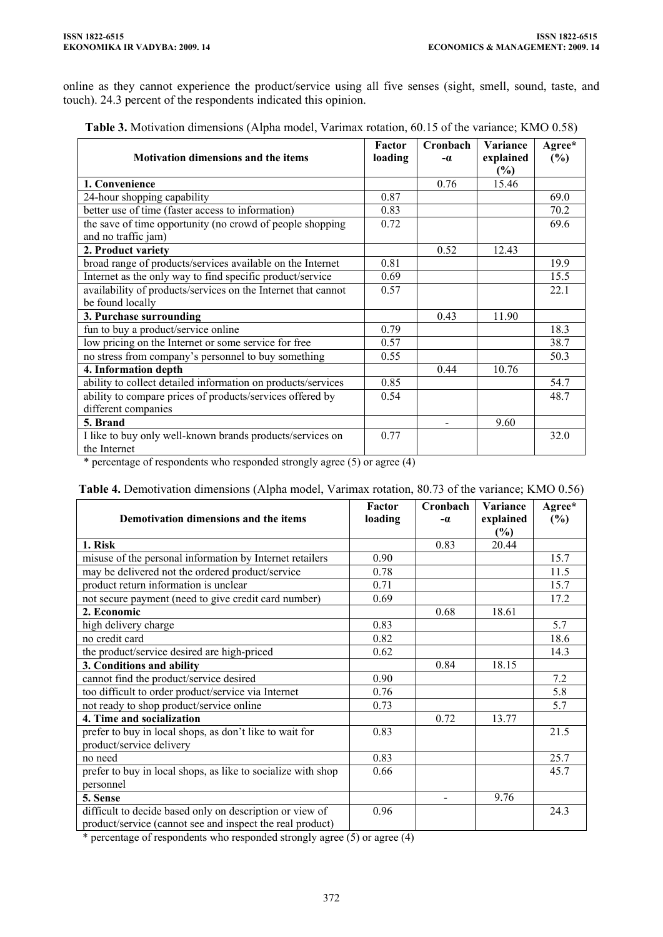online as they cannot experience the product/service using all five senses (sight, smell, sound, taste, and touch). 24.3 percent of the respondents indicated this opinion.

| <b>Motivation dimensions and the items</b>                                       | Factor<br>loading | Cronbach<br>$-\alpha$ | <b>Variance</b><br>explained | Agree*<br>(%) |
|----------------------------------------------------------------------------------|-------------------|-----------------------|------------------------------|---------------|
|                                                                                  |                   |                       | $(\%)$                       |               |
| 1. Convenience                                                                   |                   | 0.76                  | 15.46                        |               |
| 24-hour shopping capability                                                      | 0.87              |                       |                              | 69.0          |
| better use of time (faster access to information)                                | 0.83              |                       |                              | 70.2          |
| the save of time opportunity (no crowd of people shopping<br>and no traffic jam) | 0.72              |                       |                              | 69.6          |
| 2. Product variety                                                               |                   | 0.52                  | 12.43                        |               |
| broad range of products/services available on the Internet                       | 0.81              |                       |                              | 19.9          |
| Internet as the only way to find specific product/service                        | 0.69              |                       |                              | 15.5          |
| availability of products/services on the Internet that cannot                    | 0.57              |                       |                              | 22.1          |
| be found locally                                                                 |                   |                       |                              |               |
| 3. Purchase surrounding                                                          |                   | 0.43                  | 11.90                        |               |
| fun to buy a product/service online                                              | 0.79              |                       |                              | 18.3          |
| low pricing on the Internet or some service for free                             | 0.57              |                       |                              | 38.7          |
| no stress from company's personnel to buy something                              | 0.55              |                       |                              | 50.3          |
| 4. Information depth                                                             |                   | 0.44                  | 10.76                        |               |
| ability to collect detailed information on products/services                     | 0.85              |                       |                              | 54.7          |
| ability to compare prices of products/services offered by                        | 0.54              |                       |                              | 48.7          |
| different companies                                                              |                   |                       |                              |               |
| 5. Brand                                                                         |                   |                       | 9.60                         |               |
| I like to buy only well-known brands products/services on<br>the Internet        | 0.77              |                       |                              | 32.0          |

| Table 3. Motivation dimensions (Alpha model, Varimax rotation, 60.15 of the variance; KMO 0.58) |  |  |  |  |
|-------------------------------------------------------------------------------------------------|--|--|--|--|
|-------------------------------------------------------------------------------------------------|--|--|--|--|

\* percentage of respondents who responded strongly agree (5) or agree (4)

## **Table 4.** Demotivation dimensions (Alpha model, Varimax rotation, 80.73 of the variance; KMO 0.56)

| Demotivation dimensions and the items                                                                                 | Factor<br>loading | Cronbach<br>$-\alpha$ | <b>Variance</b><br>explained<br>$(\%)$ | Agree*<br>$(\%)$ |
|-----------------------------------------------------------------------------------------------------------------------|-------------------|-----------------------|----------------------------------------|------------------|
| 1. Risk                                                                                                               |                   | 0.83                  | 20.44                                  |                  |
| misuse of the personal information by Internet retailers                                                              | 0.90              |                       |                                        | 15.7             |
| may be delivered not the ordered product/service                                                                      | 0.78              |                       |                                        | 11.5             |
| product return information is unclear                                                                                 | 0.71              |                       |                                        | 15.7             |
| not secure payment (need to give credit card number)                                                                  | 0.69              |                       |                                        | 17.2             |
| 2. Economic                                                                                                           |                   | 0.68                  | 18.61                                  |                  |
| high delivery charge                                                                                                  | 0.83              |                       |                                        | 5.7              |
| no credit card                                                                                                        | 0.82              |                       |                                        | 18.6             |
| the product/service desired are high-priced                                                                           | 0.62              |                       |                                        | 14.3             |
| 3. Conditions and ability                                                                                             |                   | 0.84                  | 18.15                                  |                  |
| cannot find the product/service desired                                                                               | 0.90              |                       |                                        | 7.2              |
| too difficult to order product/service via Internet                                                                   | 0.76              |                       |                                        | 5.8              |
| not ready to shop product/service online                                                                              | 0.73              |                       |                                        | 5.7              |
| 4. Time and socialization                                                                                             |                   | 0.72                  | 13.77                                  |                  |
| prefer to buy in local shops, as don't like to wait for<br>product/service delivery                                   | 0.83              |                       |                                        | 21.5             |
| no need                                                                                                               | 0.83              |                       |                                        | 25.7             |
| prefer to buy in local shops, as like to socialize with shop                                                          | 0.66              |                       |                                        | 45.7             |
| personnel                                                                                                             |                   |                       |                                        |                  |
| 5. Sense                                                                                                              |                   |                       | 9.76                                   |                  |
| difficult to decide based only on description or view of<br>product/service (cannot see and inspect the real product) | 0.96              |                       |                                        | 24.3             |

\* percentage of respondents who responded strongly agree (5) or agree (4)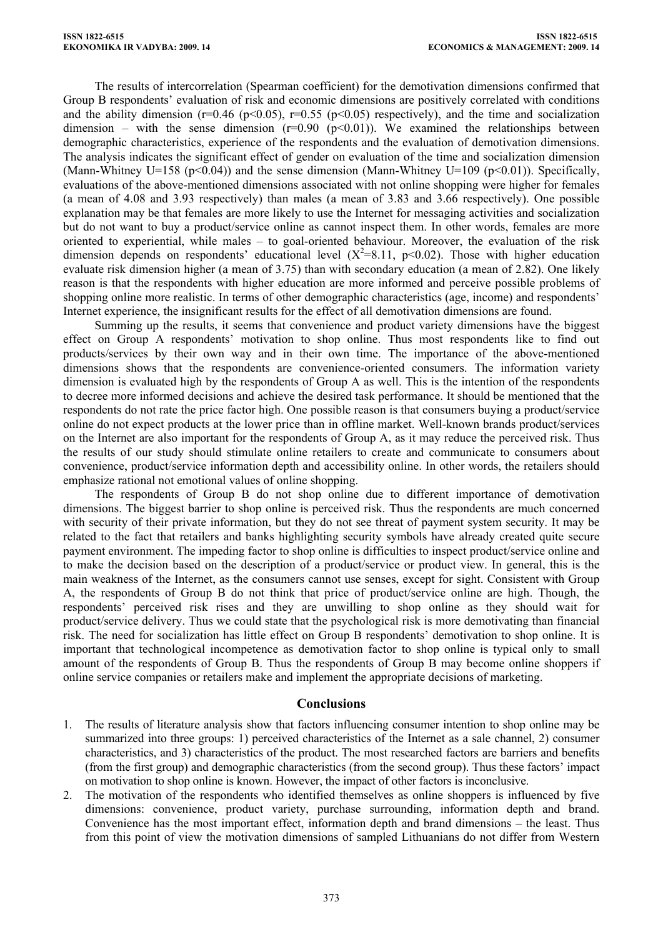The results of intercorrelation (Spearman coefficient) for the demotivation dimensions confirmed that Group B respondents' evaluation of risk and economic dimensions are positively correlated with conditions and the ability dimension ( $r=0.46$  ( $p<0.05$ ),  $r=0.55$  ( $p<0.05$ ) respectively), and the time and socialization dimension – with the sense dimension  $(r=0.90 (p<0.01))$ . We examined the relationships between demographic characteristics, experience of the respondents and the evaluation of demotivation dimensions. The analysis indicates the significant effect of gender on evaluation of the time and socialization dimension (Mann-Whitney U=158 (p<0.04)) and the sense dimension (Mann-Whitney U=109 (p<0.01)). Specifically, evaluations of the above-mentioned dimensions associated with not online shopping were higher for females (a mean of 4.08 and 3.93 respectively) than males (a mean of 3.83 and 3.66 respectively). One possible explanation may be that females are more likely to use the Internet for messaging activities and socialization but do not want to buy a product/service online as cannot inspect them. In other words, females are more oriented to experiential, while males – to goal-oriented behaviour. Moreover, the evaluation of the risk dimension depends on respondents' educational level  $(X^2=8.11, p<0.02)$ . Those with higher education evaluate risk dimension higher (a mean of 3.75) than with secondary education (a mean of 2.82). One likely reason is that the respondents with higher education are more informed and perceive possible problems of shopping online more realistic. In terms of other demographic characteristics (age, income) and respondents' Internet experience, the insignificant results for the effect of all demotivation dimensions are found.

Summing up the results, it seems that convenience and product variety dimensions have the biggest effect on Group A respondents' motivation to shop online. Thus most respondents like to find out products/services by their own way and in their own time. The importance of the above-mentioned dimensions shows that the respondents are convenience-oriented consumers. The information variety dimension is evaluated high by the respondents of Group A as well. This is the intention of the respondents to decree more informed decisions and achieve the desired task performance. It should be mentioned that the respondents do not rate the price factor high. One possible reason is that consumers buying a product/service online do not expect products at the lower price than in offline market. Well-known brands product/services on the Internet are also important for the respondents of Group A, as it may reduce the perceived risk. Thus the results of our study should stimulate online retailers to create and communicate to consumers about convenience, product/service information depth and accessibility online. In other words, the retailers should emphasize rational not emotional values of online shopping.

The respondents of Group B do not shop online due to different importance of demotivation dimensions. The biggest barrier to shop online is perceived risk. Thus the respondents are much concerned with security of their private information, but they do not see threat of payment system security. It may be related to the fact that retailers and banks highlighting security symbols have already created quite secure payment environment. The impeding factor to shop online is difficulties to inspect product/service online and to make the decision based on the description of a product/service or product view. In general, this is the main weakness of the Internet, as the consumers cannot use senses, except for sight. Consistent with Group A, the respondents of Group B do not think that price of product/service online are high. Though, the respondents' perceived risk rises and they are unwilling to shop online as they should wait for product/service delivery. Thus we could state that the psychological risk is more demotivating than financial risk. The need for socialization has little effect on Group B respondents' demotivation to shop online. It is important that technological incompetence as demotivation factor to shop online is typical only to small amount of the respondents of Group B. Thus the respondents of Group B may become online shoppers if online service companies or retailers make and implement the appropriate decisions of marketing.

## **Conclusions**

- 1. The results of literature analysis show that factors influencing consumer intention to shop online may be summarized into three groups: 1) perceived characteristics of the Internet as a sale channel, 2) consumer characteristics, and 3) characteristics of the product. The most researched factors are barriers and benefits (from the first group) and demographic characteristics (from the second group). Thus these factors' impact on motivation to shop online is known. However, the impact of other factors is inconclusive.
- 2. The motivation of the respondents who identified themselves as online shoppers is influenced by five dimensions: convenience, product variety, purchase surrounding, information depth and brand. Convenience has the most important effect, information depth and brand dimensions – the least. Thus from this point of view the motivation dimensions of sampled Lithuanians do not differ from Western